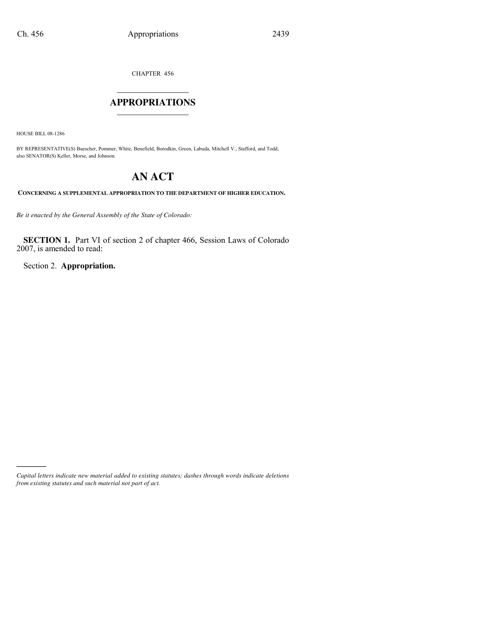CHAPTER 456

### $\mathcal{L}$  , we have the set of the set of the set of the set of the set of the set of the set of the set of the set of the set of the set of the set of the set of the set of the set of the set of the set of the set of the **APPROPRIATIONS** \_\_\_\_\_\_\_\_\_\_\_\_\_\_\_

HOUSE BILL 08-1286

)))))

BY REPRESENTATIVE(S) Buescher, Pommer, White, Benefield, Borodkin, Green, Labuda, Mitchell V., Stafford, and Todd; also SENATOR(S) Keller, Morse, and Johnson.

# **AN ACT**

**CONCERNING A SUPPLEMENTAL APPROPRIATION TO THE DEPARTMENT OF HIGHER EDUCATION.**

*Be it enacted by the General Assembly of the State of Colorado:*

**SECTION 1.** Part VI of section 2 of chapter 466, Session Laws of Colorado 2007, is amended to read:

Section 2. **Appropriation.**

*Capital letters indicate new material added to existing statutes; dashes through words indicate deletions from existing statutes and such material not part of act.*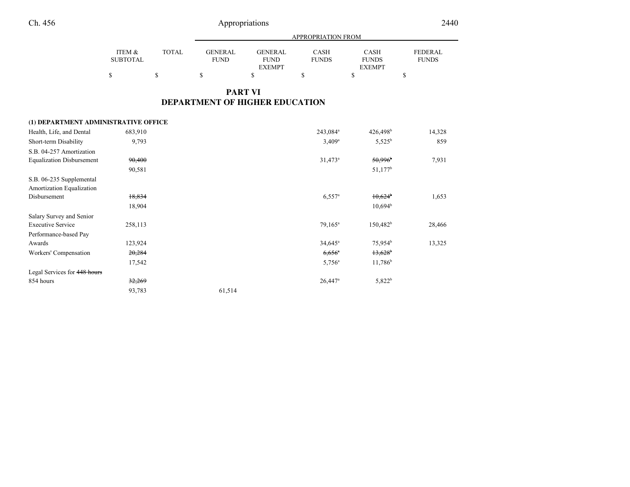|                 |              | APPROPRIATION FROM |                |              |               |                |
|-----------------|--------------|--------------------|----------------|--------------|---------------|----------------|
| ITEM &          | <b>TOTAL</b> | <b>GENERAL</b>     | <b>GENERAL</b> | CASH         | CASH          | <b>FEDERAL</b> |
| <b>SUBTOTAL</b> |              | FUND               | <b>FUND</b>    | <b>FUNDS</b> | <b>FUNDS</b>  | <b>FUNDS</b>   |
|                 |              |                    | <b>EXEMPT</b>  |              | <b>EXEMPT</b> |                |
|                 | C            |                    |                |              |               |                |

### **PART VIDEPARTMENT OF HIGHER EDUCATION**

### **(1) DEPARTMENT ADMINISTRATIVE OFFICE**

| Health, Life, and Dental         | 683,910 |        | 243,084 <sup>a</sup>  | $426,498$ <sup>b</sup> | 14,328 |
|----------------------------------|---------|--------|-----------------------|------------------------|--------|
| Short-term Disability            | 9,793   |        | $3,409^a$             | $5,525^b$              | 859    |
| S.B. 04-257 Amortization         |         |        |                       |                        |        |
| <b>Equalization Disbursement</b> | 90,400  |        | $31,473^a$            | 50,996                 | 7,931  |
|                                  | 90,581  |        |                       | 51,177 <sup>b</sup>    |        |
| S.B. 06-235 Supplemental         |         |        |                       |                        |        |
| Amortization Equalization        |         |        |                       |                        |        |
| Disbursement                     | 18,834  |        | $6,557$ <sup>a</sup>  | $10,624$ <sup>b</sup>  | 1,653  |
|                                  | 18,904  |        |                       | $10,694^{\rm b}$       |        |
| Salary Survey and Senior         |         |        |                       |                        |        |
| <b>Executive Service</b>         | 258,113 |        | $79.165^a$            | $150,482^b$            | 28,466 |
| Performance-based Pay            |         |        |                       |                        |        |
| Awards                           | 123,924 |        | $34,645^{\circ}$      | $75,954^b$             | 13,325 |
| Workers' Compensation            | 20,284  |        | $6,656^{\circ}$       | 13,628                 |        |
|                                  | 17,542  |        | $5,756^{\circ}$       | $11,786^b$             |        |
| Legal Services for 448 hours     |         |        |                       |                        |        |
| 854 hours                        | 32,269  |        | $26,447$ <sup>a</sup> | $5,822^b$              |        |
|                                  | 93,783  | 61,514 |                       |                        |        |
|                                  |         |        |                       |                        |        |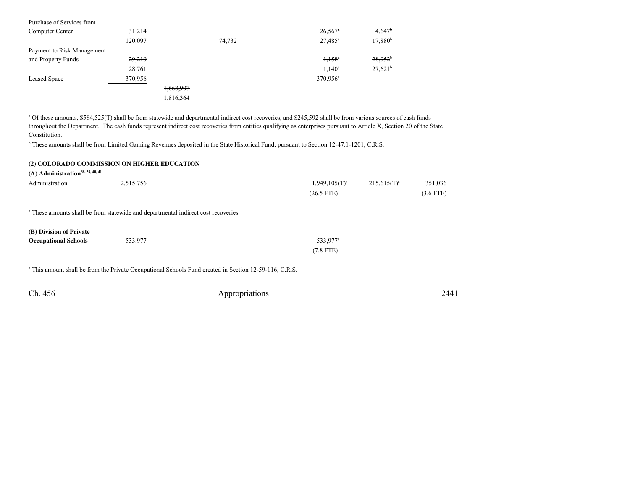| Purchase of Services from  |         |           |        |                       |                      |
|----------------------------|---------|-----------|--------|-----------------------|----------------------|
| Computer Center            | 31,214  |           |        | $26,567$ <sup>a</sup> | $4,647$ <sup>b</sup> |
|                            | 120,097 |           | 74,732 | $27,485^{\rm a}$      | 17,880 <sup>b</sup>  |
| Payment to Risk Management |         |           |        |                       |                      |
| and Property Funds         | 29,210  |           |        | $1.158^{a}$           | $28,052^{\circ}$     |
|                            | 28,761  |           |        | $1,140^a$             | $27,621^b$           |
| <b>Leased Space</b>        | 370,956 |           |        | 370,956 <sup>a</sup>  |                      |
|                            |         | 1,668,907 |        |                       |                      |
|                            |         | 1,816,364 |        |                       |                      |

<sup>a</sup> Of these amounts, \$584,525(T) shall be from statewide and departmental indirect cost recoveries, and \$245,592 shall be from various sources of cash funds throughout the Department. The cash funds represent indirect cost recoveries from entities qualifying as enterprises pursuant to Article X, Section 20 of the StateConstitution.

<sup>b</sup> These amounts shall be from Limited Gaming Revenues deposited in the State Historical Fund, pursuant to Section 12-47.1-1201, C.R.S.

#### **(2) COLORADO COMMISSION ON HIGHER EDUCATION**

**(A) Administration38, 39, 40, 41**

| Administration | 2,515,756 | $1,949,105(T)^{a}$ | $215.615(T)^a$ | 351,036     |
|----------------|-----------|--------------------|----------------|-------------|
|                |           | $(26.5$ FTE)       |                | $(3.6$ FTE) |

<sup>a</sup> These amounts shall be from statewide and departmental indirect cost recoveries.

| (B) Division of Private     |         |                      |
|-----------------------------|---------|----------------------|
| <b>Occupational Schools</b> | 533.977 | 533.977 <sup>a</sup> |
|                             |         | $(7.8$ FTE)          |

<sup>a</sup> This amount shall be from the Private Occupational Schools Fund created in Section 12-59-116, C.R.S.

| Ch. 456 | Appropriations | 2441 |
|---------|----------------|------|
|---------|----------------|------|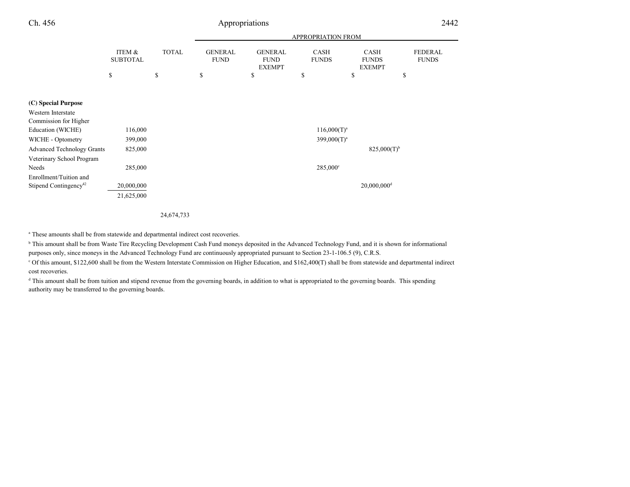| Ch. 456                           |                           |              |                               | Appropriations                                 |                             |                                              | 2442                           |  |
|-----------------------------------|---------------------------|--------------|-------------------------------|------------------------------------------------|-----------------------------|----------------------------------------------|--------------------------------|--|
|                                   |                           |              | APPROPRIATION FROM            |                                                |                             |                                              |                                |  |
|                                   | ITEM &<br><b>SUBTOTAL</b> | <b>TOTAL</b> | <b>GENERAL</b><br><b>FUND</b> | <b>GENERAL</b><br><b>FUND</b><br><b>EXEMPT</b> | <b>CASH</b><br><b>FUNDS</b> | <b>CASH</b><br><b>FUNDS</b><br><b>EXEMPT</b> | <b>FEDERAL</b><br><b>FUNDS</b> |  |
|                                   | \$                        | \$           | \$                            | \$                                             | \$                          | \$                                           | \$                             |  |
| (C) Special Purpose               |                           |              |                               |                                                |                             |                                              |                                |  |
| Western Interstate                |                           |              |                               |                                                |                             |                                              |                                |  |
| Commission for Higher             |                           |              |                               |                                                |                             |                                              |                                |  |
| Education (WICHE)                 | 116,000                   |              |                               |                                                | 116,000(T) <sup>a</sup>     |                                              |                                |  |
| WICHE - Optometry                 | 399,000                   |              |                               |                                                | $399,000(T)^a$              |                                              |                                |  |
| <b>Advanced Technology Grants</b> | 825,000                   |              |                               |                                                |                             | $825,000(T)$ <sup>b</sup>                    |                                |  |
| Veterinary School Program         |                           |              |                               |                                                |                             |                                              |                                |  |
| Needs                             | 285,000                   |              |                               |                                                | $285,000^{\circ}$           |                                              |                                |  |
| Enrollment/Tuition and            |                           |              |                               |                                                |                             |                                              |                                |  |
| Stipend Contingency <sup>42</sup> | 20,000,000                |              |                               |                                                |                             | $20,000,000$ <sup>d</sup>                    |                                |  |
|                                   | 21,625,000                |              |                               |                                                |                             |                                              |                                |  |
|                                   |                           |              |                               |                                                |                             |                                              |                                |  |

24,674,733

<sup>a</sup> These amounts shall be from statewide and departmental indirect cost recoveries.

<sup>b</sup> This amount shall be from Waste Tire Recycling Development Cash Fund moneys deposited in the Advanced Technology Fund, and it is shown for informational

purposes only, since moneys in the Advanced Technology Fund are continuously appropriated pursuant to Section 23-1-106.5 (9), C.R.S.

c Of this amount, \$122,600 shall be from the Western Interstate Commission on Higher Education, and \$162,400(T) shall be from statewide and departmental indirectcost recoveries.

<sup>d</sup> This amount shall be from tuition and stipend revenue from the governing boards, in addition to what is appropriated to the governing boards. This spending authority may be transferred to the governing boards.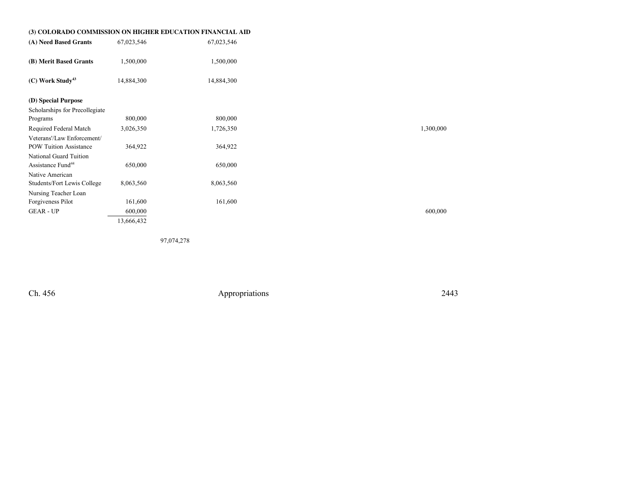| (3) COLORADO COMMISSION ON HIGHER EDUCATION FINANCIAL AID |            |            |
|-----------------------------------------------------------|------------|------------|
| (A) Need Based Grants                                     | 67,023,546 | 67,023,546 |
| (B) Merit Based Grants                                    | 1,500,000  | 1,500,000  |
| $(C)$ Work Study <sup>43</sup>                            | 14,884,300 | 14,884,300 |
|                                                           |            |            |
| (D) Special Purpose                                       |            |            |
| Scholarships for Precollegiate                            |            |            |
| Programs                                                  | 800,000    | 800,000    |
| Required Federal Match                                    | 3,026,350  | 1,726,350  |
| Veterans'/Law Enforcement/                                |            |            |
| <b>POW Tuition Assistance</b>                             | 364,922    | 364,922    |
| National Guard Tuition                                    |            |            |
| Assistance Fund <sup>44</sup>                             | 650,000    | 650,000    |
| Native American                                           |            |            |
| Students/Fort Lewis College                               | 8,063,560  | 8,063,560  |
| Nursing Teacher Loan                                      |            |            |
| Forgiveness Pilot                                         | 161,600    | 161,600    |
| <b>GEAR - UP</b>                                          | 600,000    |            |
|                                                           | 13,666,432 |            |

97,074,278

Ch. 456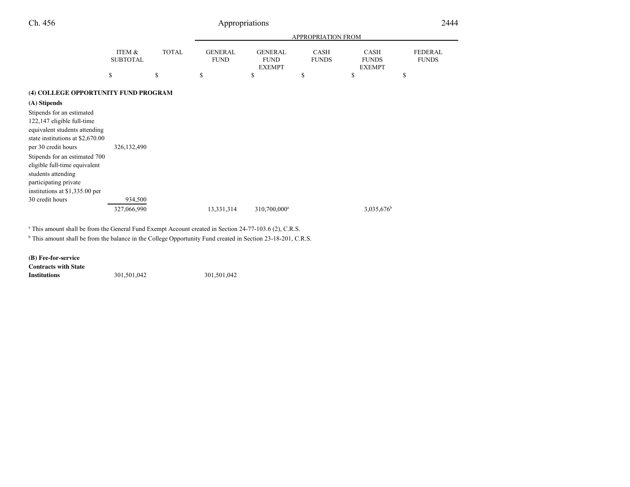|                                                                                                                                                     |                                      |              | <b>APPROPRIATION FROM</b>     |                                                |                             |                                              |                                |
|-----------------------------------------------------------------------------------------------------------------------------------------------------|--------------------------------------|--------------|-------------------------------|------------------------------------------------|-----------------------------|----------------------------------------------|--------------------------------|
|                                                                                                                                                     | <b>ITEM &amp;</b><br><b>SUBTOTAL</b> | <b>TOTAL</b> | <b>GENERAL</b><br><b>FUND</b> | <b>GENERAL</b><br><b>FUND</b><br><b>EXEMPT</b> | <b>CASH</b><br><b>FUNDS</b> | <b>CASH</b><br><b>FUNDS</b><br><b>EXEMPT</b> | <b>FEDERAL</b><br><b>FUNDS</b> |
|                                                                                                                                                     | \$                                   | \$           | \$                            | \$                                             | <sup>\$</sup>               | \$                                           | \$                             |
| (4) COLLEGE OPPORTUNITY FUND PROGRAM                                                                                                                |                                      |              |                               |                                                |                             |                                              |                                |
| (A) Stipends                                                                                                                                        |                                      |              |                               |                                                |                             |                                              |                                |
| Stipends for an estimated<br>122,147 eligible full-time<br>equivalent students attending<br>state institutions at \$2,670.00<br>per 30 credit hours | 326, 132, 490                        |              |                               |                                                |                             |                                              |                                |
| Stipends for an estimated 700<br>eligible full-time equivalent<br>students attending<br>participating private<br>institutions at \$1,335.00 per     |                                      |              |                               |                                                |                             |                                              |                                |
| 30 credit hours                                                                                                                                     | 934,500                              |              |                               |                                                |                             |                                              |                                |
|                                                                                                                                                     | 327,066,990                          |              | 13,331,314                    | 310,700,000 <sup>a</sup>                       |                             | 3,035,676 <sup>b</sup>                       |                                |

<sup>a</sup> This amount shall be from the General Fund Exempt Account created in Section 24-77-103.6 (2), C.R.S.

<sup>b</sup> This amount shall be from the balance in the College Opportunity Fund created in Section 23-18-201, C.R.S.

**(B) Fee-for-service**

 **Contracts with StateInstitutions**301,501,042 301,501,042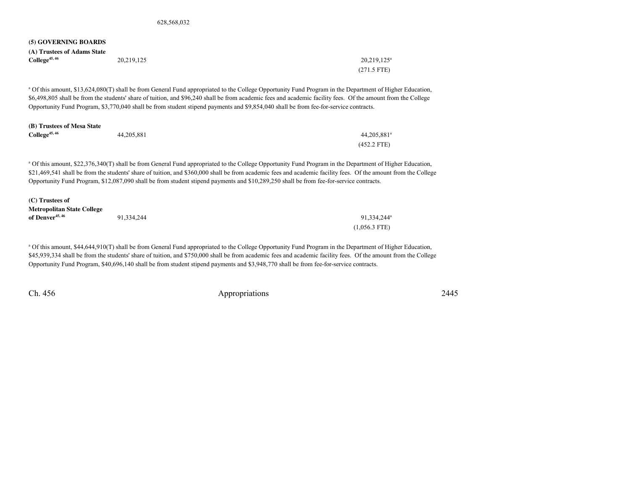#### **(5) GOVERNING BOARDS**

| (A) Trustees of Adams State |            |                       |
|-----------------------------|------------|-----------------------|
| $College^{45,46}$           | 20,219,125 | $20,219,125^{\circ}$  |
|                             |            | $(271.5 \text{ FTE})$ |

a Of this amount, \$13,624,080(T) shall be from General Fund appropriated to the College Opportunity Fund Program in the Department of Higher Education,\$6,498,805 shall be from the students' share of tuition, and \$96,240 shall be from academic fees and academic facility fees. Of the amount from the CollegeOpportunity Fund Program, \$3,770,040 shall be from student stipend payments and \$9,854,040 shall be from fee-for-service contracts.

| (B) Trustees of Mesa State |            |                         |
|----------------------------|------------|-------------------------|
| $\text{College}^{45,46}$   | 44,205,881 | 44,205,881 <sup>a</sup> |
|                            |            | $(452.2$ FTE)           |

<sup>a</sup> Of this amount, \$22,376,340(T) shall be from General Fund appropriated to the College Opportunity Fund Program in the Department of Higher Education, \$21,469,541 shall be from the students' share of tuition, and \$360,000 shall be from academic fees and academic facility fees. Of the amount from the College Opportunity Fund Program, \$12,087,090 shall be from student stipend payments and \$10,289,250 shall be from fee-for-service contracts.

| (C) Trustees of                   |            |                         |
|-----------------------------------|------------|-------------------------|
| <b>Metropolitan State College</b> |            |                         |
| of Denver <sup>45, 46</sup>       | 91.334.244 | 91.334.244 <sup>a</sup> |
|                                   |            | $(1,056.3$ FTE)         |

a Of this amount, \$44,644,910(T) shall be from General Fund appropriated to the College Opportunity Fund Program in the Department of Higher Education, \$45,939,334 shall be from the students' share of tuition, and \$750,000 shall be from academic fees and academic facility fees. Of the amount from the College Opportunity Fund Program, \$40,696,140 shall be from student stipend payments and \$3,948,770 shall be from fee-for-service contracts.

Ch. 456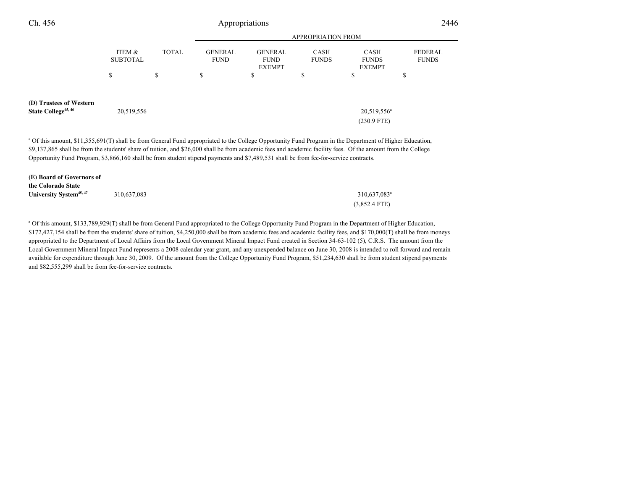| Ch. 456                                                    |                           |              |                               | Appropriations                                 |                             |                                              | 2446                    |
|------------------------------------------------------------|---------------------------|--------------|-------------------------------|------------------------------------------------|-----------------------------|----------------------------------------------|-------------------------|
|                                                            |                           |              |                               |                                                | <b>APPROPRIATION FROM</b>   |                                              |                         |
|                                                            | ITEM &<br><b>SUBTOTAL</b> | <b>TOTAL</b> | <b>GENERAL</b><br><b>FUND</b> | <b>GENERAL</b><br><b>FUND</b><br><b>EXEMPT</b> | <b>CASH</b><br><b>FUNDS</b> | <b>CASH</b><br><b>FUNDS</b><br><b>EXEMPT</b> | FEDERAL<br><b>FUNDS</b> |
|                                                            | \$                        | \$           | \$                            | ъ                                              | \$                          | \$                                           | \$                      |
| (D) Trustees of Western<br>State College <sup>45, 46</sup> | 20,519,556                |              |                               |                                                |                             | 20,519,556 <sup>a</sup><br>$(230.9$ FTE)     |                         |

<sup>a</sup> Of this amount, \$11,355,691(T) shall be from General Fund appropriated to the College Opportunity Fund Program in the Department of Higher Education, \$9,137,865 shall be from the students' share of tuition, and \$26,000 shall be from academic fees and academic facility fees. Of the amount from the College Opportunity Fund Program, \$3,866,160 shall be from student stipend payments and \$7,489,531 shall be from fee-for-service contracts.

| (E) Board of Governors of           |             |                            |
|-------------------------------------|-------------|----------------------------|
| the Colorado State                  |             |                            |
| University System <sup>45, 47</sup> | 310,637,083 | $310,637,083$ <sup>a</sup> |
|                                     |             | $(3,852.4$ FTE)            |

a Of this amount, \$133,789,929(T) shall be from General Fund appropriated to the College Opportunity Fund Program in the Department of Higher Education,\$172,427,154 shall be from the students' share of tuition, \$4,250,000 shall be from academic fees and academic facility fees, and \$170,000(T) shall be from moneys appropriated to the Department of Local Affairs from the Local Government Mineral Impact Fund created in Section 34-63-102 (5), C.R.S. The amount from the Local Government Mineral Impact Fund represents a 2008 calendar year grant, and any unexpended balance on June 30, 2008 is intended to roll forward and remain available for expenditure through June 30, 2009. Of the amount from the College Opportunity Fund Program, \$51,234,630 shall be from student stipend paymentsand \$82,555,299 shall be from fee-for-service contracts.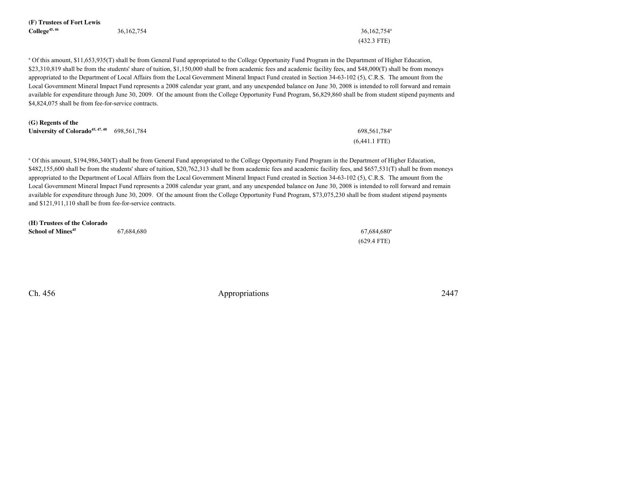| (F) Trustees of Fort Lewis |            |            |
|----------------------------|------------|------------|
| $\text{College}^{45,46}$   | 36,162,754 | 36,162,754 |

(432.3 FTE)

<sup>a</sup> Of this amount, \$11,653,935(T) shall be from General Fund appropriated to the College Opportunity Fund Program in the Department of Higher Education, \$23,310,819 shall be from the students' share of tuition, \$1,150,000 shall be from academic fees and academic facility fees, and \$48,000(T) shall be from moneys appropriated to the Department of Local Affairs from the Local Government Mineral Impact Fund created in Section 34-63-102 (5), C.R.S. The amount from the Local Government Mineral Impact Fund represents a 2008 calendar year grant, and any unexpended balance on June 30, 2008 is intended to roll forward and remain available for expenditure through June 30, 2009. Of the amount from the College Opportunity Fund Program, \$6,829,860 shall be from student stipend payments and\$4,824,075 shall be from fee-for-service contracts.

| (G) Regents of the                                         |                          |
|------------------------------------------------------------|--------------------------|
| University of Colorado <sup>45, 47, 48</sup> 698, 561, 784 | 698.561.784 <sup>ª</sup> |
|                                                            | $(6,441.1$ FTE)          |

a Of this amount, \$194,986,340(T) shall be from General Fund appropriated to the College Opportunity Fund Program in the Department of Higher Education, \$482,155,600 shall be from the students' share of tuition, \$20,762,313 shall be from academic fees and academic facility fees, and \$657,531(T) shall be from moneys appropriated to the Department of Local Affairs from the Local Government Mineral Impact Fund created in Section 34-63-102 (5), C.R.S. The amount from the Local Government Mineral Impact Fund represents a 2008 calendar year grant, and any unexpended balance on June 30, 2008 is intended to roll forward and remain available for expenditure through June 30, 2009. Of the amount from the College Opportunity Fund Program, \$73,075,230 shall be from student stipend paymentsand \$121,911,110 shall be from fee-for-service contracts.

| (H) Trustees of the Colorado  |            |                           |
|-------------------------------|------------|---------------------------|
| School of Mines <sup>45</sup> | 67,684,680 | $67.684.680$ <sup>a</sup> |
|                               |            | $(629.4$ FTE)             |

Ch. 456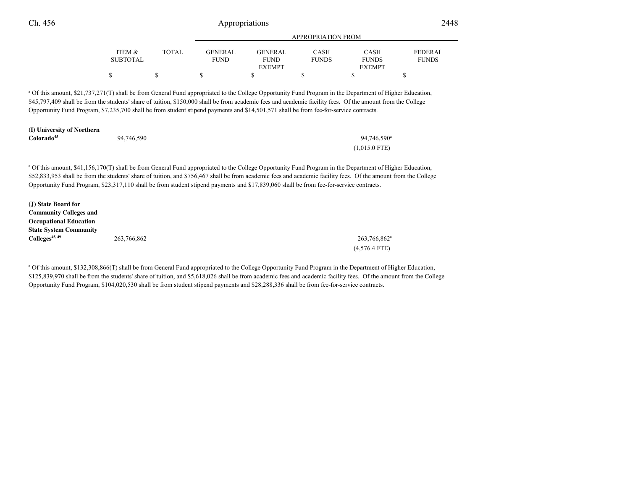|                 |              |             | APPROPRIATION FROM           |              |                               |                |  |  |
|-----------------|--------------|-------------|------------------------------|--------------|-------------------------------|----------------|--|--|
| ITEM &          | <b>TOTAL</b> | GENERAL     | <b>GENERAL</b>               | <b>CASH</b>  | <b>CASH</b>                   | <b>FEDERAL</b> |  |  |
| <b>SUBTOTAL</b> |              | <b>FUND</b> | <b>FUND</b><br><b>EXEMPT</b> | <b>FUNDS</b> | <b>FUNDS</b><br><b>EXEMPT</b> | <b>FUNDS</b>   |  |  |
| S               |              |             |                              |              |                               |                |  |  |

APPROPRIATION FROM

<sup>a</sup> Of this amount, \$21,737,271(T) shall be from General Fund appropriated to the College Opportunity Fund Program in the Department of Higher Education, \$45,797,409 shall be from the students' share of tuition, \$150,000 shall be from academic fees and academic facility fees. Of the amount from the CollegeOpportunity Fund Program, \$7,235,700 shall be from student stipend payments and \$14,501,571 shall be from fee-for-service contracts.

| (I) University of Northern |            |                         |  |  |
|----------------------------|------------|-------------------------|--|--|
| Colorado <sup>45</sup>     | 94,746,590 | 94,746,590 <sup>a</sup> |  |  |
|                            |            | $(1,015.0$ FTE)         |  |  |

<sup>a</sup> Of this amount, \$41,156,170(T) shall be from General Fund appropriated to the College Opportunity Fund Program in the Department of Higher Education, \$52,833,953 shall be from the students' share of tuition, and \$756,467 shall be from academic fees and academic facility fees. Of the amount from the College Opportunity Fund Program, \$23,317,110 shall be from student stipend payments and \$17,839,060 shall be from fee-for-service contracts.

| (J) State Board for           |             |                          |
|-------------------------------|-------------|--------------------------|
| <b>Community Colleges and</b> |             |                          |
| <b>Occupational Education</b> |             |                          |
| <b>State System Community</b> |             |                          |
| Colleges <sup>45, 49</sup>    | 263,766,862 | 263,766,862 <sup>a</sup> |
|                               |             | $(4,576.4$ FTE)          |

<sup>a</sup> Of this amount, \$132,308,866(T) shall be from General Fund appropriated to the College Opportunity Fund Program in the Department of Higher Education, \$125,839,970 shall be from the students' share of tuition, and \$5,618,026 shall be from academic fees and academic facility fees. Of the amount from the CollegeOpportunity Fund Program, \$104,020,530 shall be from student stipend payments and \$28,288,336 shall be from fee-for-service contracts.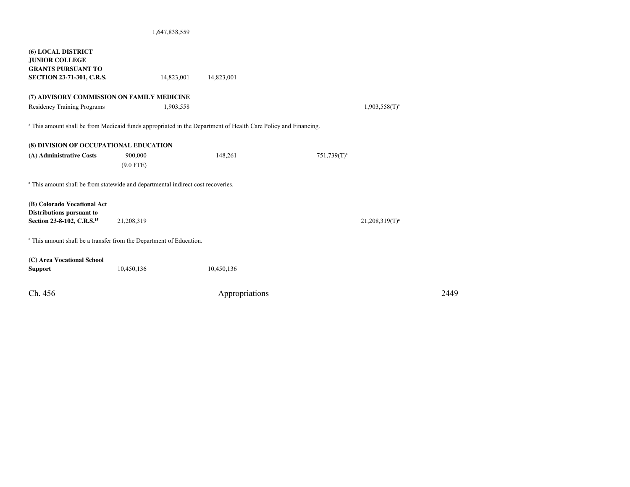### 1,647,838,559

| <b>(6) LOCAL DISTRICT</b><br><b>JUNIOR COLLEGE</b><br><b>GRANTS PURSUANT TO</b> |                                                                                                                |                |                |                   |      |
|---------------------------------------------------------------------------------|----------------------------------------------------------------------------------------------------------------|----------------|----------------|-------------------|------|
| <b>SECTION 23-71-301, C.R.S.</b>                                                | 14,823,001                                                                                                     | 14,823,001     |                |                   |      |
| (7) ADVISORY COMMISSION ON FAMILY MEDICINE                                      |                                                                                                                |                |                |                   |      |
| <b>Residency Training Programs</b>                                              | 1,903,558                                                                                                      |                |                | $1,903,558(T)^a$  |      |
|                                                                                 | a This amount shall be from Medicaid funds appropriated in the Department of Health Care Policy and Financing. |                |                |                   |      |
| (8) DIVISION OF OCCUPATIONAL EDUCATION                                          |                                                                                                                |                |                |                   |      |
| (A) Administrative Costs                                                        | 900,000                                                                                                        | 148,261        | $751,739(T)^a$ |                   |      |
|                                                                                 | $(9.0$ FTE)                                                                                                    |                |                |                   |      |
|                                                                                 | <sup>a</sup> This amount shall be from statewide and departmental indirect cost recoveries.                    |                |                |                   |      |
| (B) Colorado Vocational Act                                                     |                                                                                                                |                |                |                   |      |
| Distributions pursuant to                                                       |                                                                                                                |                |                |                   |      |
| Section 23-8-102, C.R.S. <sup>15</sup>                                          | 21,208,319                                                                                                     |                |                | $21,208,319(T)^a$ |      |
|                                                                                 | <sup>a</sup> This amount shall be a transfer from the Department of Education.                                 |                |                |                   |      |
| (C) Area Vocational School                                                      |                                                                                                                |                |                |                   |      |
| <b>Support</b>                                                                  | 10,450,136                                                                                                     | 10,450,136     |                |                   |      |
|                                                                                 |                                                                                                                |                |                |                   |      |
| Ch. 456                                                                         |                                                                                                                | Appropriations |                |                   | 2449 |
|                                                                                 |                                                                                                                |                |                |                   |      |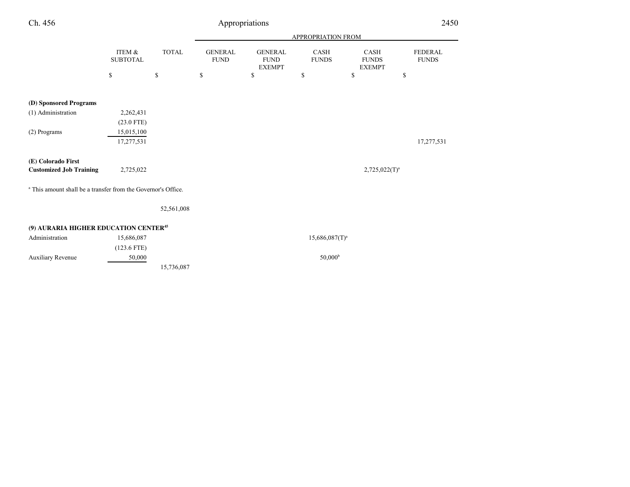| Ch. 456                                                                  |                           |              |                               | Appropriations                                 |                             |                                              | 2450                           |
|--------------------------------------------------------------------------|---------------------------|--------------|-------------------------------|------------------------------------------------|-----------------------------|----------------------------------------------|--------------------------------|
|                                                                          |                           |              |                               | <b>APPROPRIATION FROM</b>                      |                             |                                              |                                |
|                                                                          | ITEM &<br><b>SUBTOTAL</b> | <b>TOTAL</b> | <b>GENERAL</b><br><b>FUND</b> | <b>GENERAL</b><br><b>FUND</b><br><b>EXEMPT</b> | <b>CASH</b><br><b>FUNDS</b> | <b>CASH</b><br><b>FUNDS</b><br><b>EXEMPT</b> | <b>FEDERAL</b><br><b>FUNDS</b> |
|                                                                          | $\mathbb{S}$              | \$           | $\mathbb{S}$                  | \$                                             | \$                          | \$                                           | \$                             |
| (D) Sponsored Programs                                                   |                           |              |                               |                                                |                             |                                              |                                |
| (1) Administration                                                       | 2,262,431<br>$(23.0$ FTE) |              |                               |                                                |                             |                                              |                                |
| (2) Programs                                                             | 15,015,100<br>17,277,531  |              |                               |                                                |                             |                                              | 17,277,531                     |
| (E) Colorado First<br><b>Customized Job Training</b>                     | 2,725,022                 |              |                               |                                                |                             | $2,725,022(T)^a$                             |                                |
| <sup>a</sup> This amount shall be a transfer from the Governor's Office. |                           |              |                               |                                                |                             |                                              |                                |
|                                                                          |                           | 52,561,008   |                               |                                                |                             |                                              |                                |
| (9) AURARIA HIGHER EDUCATION CENTER <sup>45</sup>                        |                           |              |                               |                                                |                             |                                              |                                |
| Administration                                                           | 15,686,087                |              |                               |                                                | $15,686,087(T)^a$           |                                              |                                |
| <b>Auxiliary Revenue</b>                                                 | $(123.6$ FTE)<br>50,000   |              |                               |                                                | 50,000 <sup>b</sup>         |                                              |                                |
|                                                                          |                           | 15,736,087   |                               |                                                |                             |                                              |                                |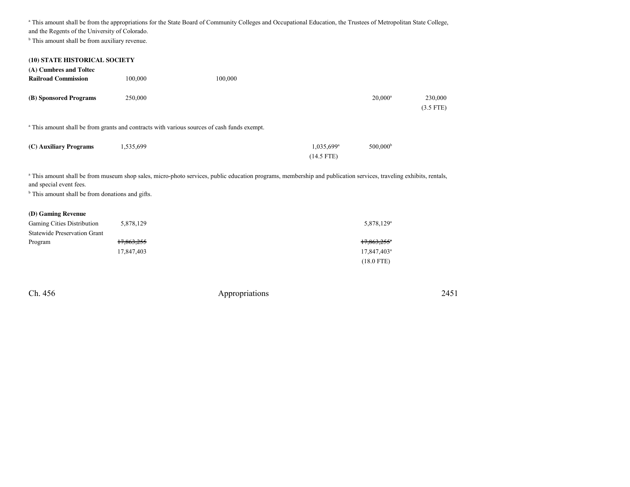<sup>a</sup> This amount shall be from the appropriations for the State Board of Community Colleges and Occupational Education, the Trustees of Metropolitan State College, and the Regents of the University of Colorado.

<sup>b</sup> This amount shall be from auxiliary revenue.

| (10) STATE HISTORICAL SOCIETY<br>(A) Cumbres and Toltec |           |                                                                                                        |                                          |                      |                        |
|---------------------------------------------------------|-----------|--------------------------------------------------------------------------------------------------------|------------------------------------------|----------------------|------------------------|
| <b>Railroad Commission</b>                              | 100,000   | 100,000                                                                                                |                                          |                      |                        |
| (B) Sponsored Programs                                  | 250,000   |                                                                                                        |                                          | $20,000^a$           | 230,000<br>$(3.5$ FTE) |
|                                                         |           | <sup>a</sup> This amount shall be from grants and contracts with various sources of cash funds exempt. |                                          |                      |                        |
| (C) Auxiliary Programs                                  | 1,535,699 |                                                                                                        | $1,035,699$ <sup>a</sup><br>$(14.5$ FTE) | 500,000 <sup>b</sup> |                        |

<sup>a</sup> This amount shall be from museum shop sales, micro-photo services, public education programs, membership and publication services, traveling exhibits, rentals, and special event fees.

<sup>b</sup> This amount shall be from donations and gifts.

### **(D) Gaming Revenue**

| <b>Gaming Cities Distribution</b>   | 5,878,129  | $5,878,129^a$           |
|-------------------------------------|------------|-------------------------|
| <b>Statewide Preservation Grant</b> |            |                         |
| Program                             | 17,863,255 | 17,863,255 <sup>*</sup> |
|                                     | 17,847,403 | $17,847,403^a$          |
|                                     |            | $(18.0$ FTE)            |

Ch. 456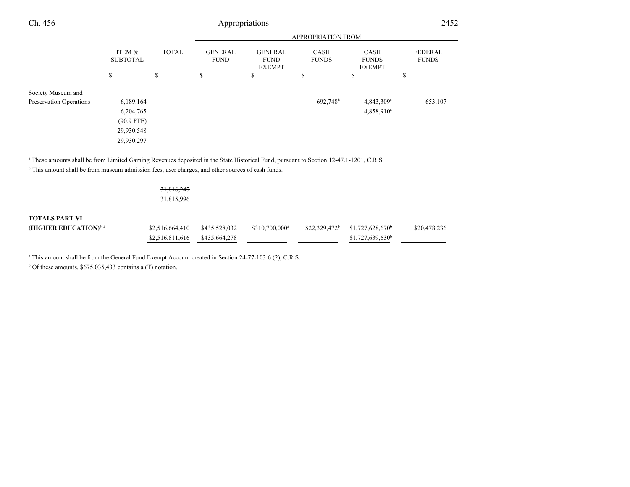| Ch. 456                 | Appropriations            |              |                               |                                                |                             | 2452                                         |                                |  |
|-------------------------|---------------------------|--------------|-------------------------------|------------------------------------------------|-----------------------------|----------------------------------------------|--------------------------------|--|
|                         |                           |              | <b>APPROPRIATION FROM</b>     |                                                |                             |                                              |                                |  |
|                         | ITEM &<br><b>SUBTOTAL</b> | <b>TOTAL</b> | <b>GENERAL</b><br><b>FUND</b> | <b>GENERAL</b><br><b>FUND</b><br><b>EXEMPT</b> | <b>CASH</b><br><b>FUNDS</b> | <b>CASH</b><br><b>FUNDS</b><br><b>EXEMPT</b> | <b>FEDERAL</b><br><b>FUNDS</b> |  |
|                         | \$                        | \$           | \$                            | ¢<br>ъ                                         | \$                          | \$                                           | c<br>P                         |  |
| Society Museum and      |                           |              |                               |                                                |                             |                                              |                                |  |
| Preservation Operations | 6,189,164                 |              |                               |                                                | 692,748 <sup>b</sup>        | $4,843,309$ <sup>a</sup>                     | 653,107                        |  |
|                         | 6,204,765                 |              |                               |                                                |                             | 4,858,910 <sup>a</sup>                       |                                |  |
|                         | $(90.9$ FTE)              |              |                               |                                                |                             |                                              |                                |  |
|                         | 29,930,548                |              |                               |                                                |                             |                                              |                                |  |
|                         | 29,930,297                |              |                               |                                                |                             |                                              |                                |  |

a These amounts shall be from Limited Gaming Revenues deposited in the State Historical Fund, pursuant to Section 12-47.1-1201, C.R.S. <sup>b</sup> This amount shall be from museum admission fees, user charges, and other sources of cash funds.

31,816,247

31,815,996

## **TOTALS PART VI**

| (HIGHER EDUCATION) <sup>4,5</sup> |  | $$310.700.000$ <sup>a</sup> | $$22,329,472^b$ $$1,727,628,670^b$ | \$20,478,236 |
|-----------------------------------|--|-----------------------------|------------------------------------|--------------|
|                                   |  |                             | $$1,727,639,630$ <sup>b</sup>      |              |

<sup>a</sup> This amount shall be from the General Fund Exempt Account created in Section 24-77-103.6 (2), C.R.S.

 $b$  Of these amounts, \$675,035,433 contains a (T) notation.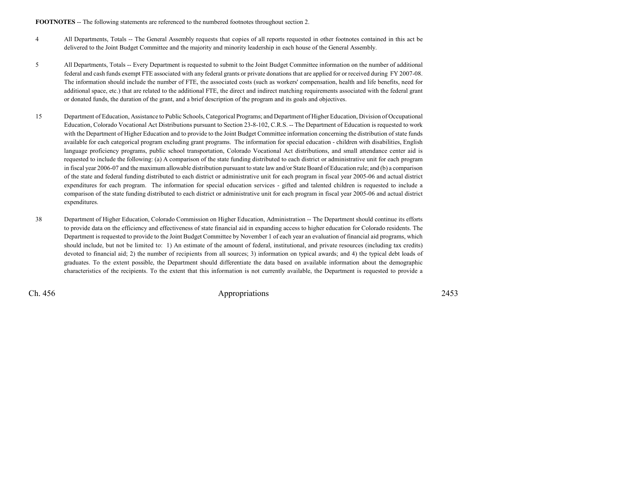**FOOTNOTES** -- The following statements are referenced to the numbered footnotes throughout section 2.

- <sup>4</sup> All Departments, Totals -- The General Assembly requests that copies of all reports requested in other footnotes contained in this act be delivered to the Joint Budget Committee and the majority and minority leadership in each house of the General Assembly.
- <sup>5</sup> All Departments, Totals -- Every Department is requested to submit to the Joint Budget Committee information on the number of additional federal and cash funds exempt FTE associated with any federal grants or private donations that are applied for or received during FY 2007-08.The information should include the number of FTE, the associated costs (such as workers' compensation, health and life benefits, need foradditional space, etc.) that are related to the additional FTE, the direct and indirect matching requirements associated with the federal grantor donated funds, the duration of the grant, and a brief description of the program and its goals and objectives.
- <sup>15</sup> Department of Education, Assistance to Public Schools, Categorical Programs; and Department of Higher Education, Division of Occupational Education, Colorado Vocational Act Distributions pursuant to Section 23-8-102, C.R.S. -- The Department of Education is requested to work with the Department of Higher Education and to provide to the Joint Budget Committee information concerning the distribution of state funds available for each categorical program excluding grant programs. The information for special education - children with disabilities, English language proficiency programs, public school transportation, Colorado Vocational Act distributions, and small attendance center aid is requested to include the following: (a) A comparison of the state funding distributed to each district or administrative unit for each program in fiscal year 2006-07 and the maximum allowable distribution pursuant to state law and/or State Board of Education rule; and (b) a comparison of the state and federal funding distributed to each district or administrative unit for each program in fiscal year 2005-06 and actual districtexpenditures for each program. The information for special education services - gifted and talented children is requested to include a comparison of the state funding distributed to each district or administrative unit for each program in fiscal year 2005-06 and actual districtexpenditures.
- <sup>38</sup> Department of Higher Education, Colorado Commission on Higher Education, Administration -- The Department should continue its efforts to provide data on the efficiency and effectiveness of state financial aid in expanding access to higher education for Colorado residents. The Department is requested to provide to the Joint Budget Committee by November 1 of each year an evaluation of financial aid programs, which should include, but not be limited to: 1) An estimate of the amount of federal, institutional, and private resources (including tax credits) devoted to financial aid; 2) the number of recipients from all sources; 3) information on typical awards; and 4) the typical debt loads ofgraduates. To the extent possible, the Department should differentiate the data based on available information about the demographiccharacteristics of the recipients. To the extent that this information is not currently available, the Department is requested to provide a

Ch. 456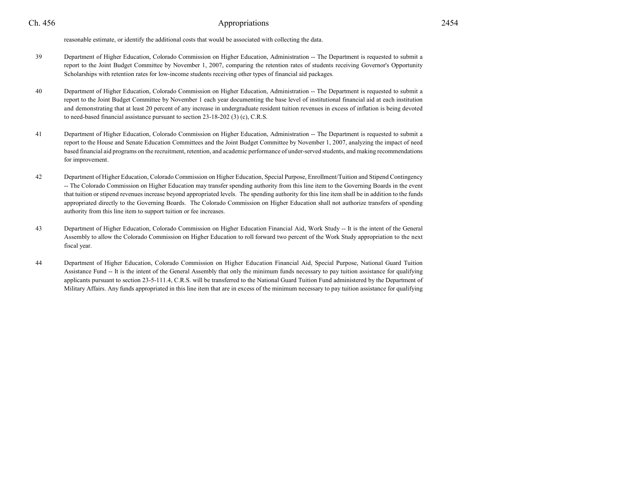reasonable estimate, or identify the additional costs that would be associated with collecting the data.

- <sup>39</sup> Department of Higher Education, Colorado Commission on Higher Education, Administration -- The Department is requested to submit a report to the Joint Budget Committee by November 1, 2007, comparing the retention rates of students receiving Governor's OpportunityScholarships with retention rates for low-income students receiving other types of financial aid packages.
- <sup>40</sup> Department of Higher Education, Colorado Commission on Higher Education, Administration -- The Department is requested to submit a report to the Joint Budget Committee by November 1 each year documenting the base level of institutional financial aid at each institution and demonstrating that at least 20 percent of any increase in undergraduate resident tuition revenues in excess of inflation is being devotedto need-based financial assistance pursuant to section 23-18-202 (3) (c), C.R.S.
- <sup>41</sup> Department of Higher Education, Colorado Commission on Higher Education, Administration -- The Department is requested to submit a report to the House and Senate Education Committees and the Joint Budget Committee by November 1, 2007, analyzing the impact of need based financial aid programs on the recruitment, retention, and academic performance of under-served students, and making recommendationsfor improvement.
- <sup>42</sup> Department of Higher Education, Colorado Commission on Higher Education, Special Purpose, Enrollment/Tuition and Stipend Contingency -- The Colorado Commission on Higher Education may transfer spending authority from this line item to the Governing Boards in the event that tuition or stipend revenues increase beyond appropriated levels. The spending authority for this line item shall be in addition to the funds appropriated directly to the Governing Boards. The Colorado Commission on Higher Education shall not authorize transfers of spendingauthority from this line item to support tuition or fee increases.
- <sup>43</sup> Department of Higher Education, Colorado Commission on Higher Education Financial Aid, Work Study -- It is the intent of the General Assembly to allow the Colorado Commission on Higher Education to roll forward two percent of the Work Study appropriation to the nextfiscal year.
- <sup>44</sup> Department of Higher Education, Colorado Commission on Higher Education Financial Aid, Special Purpose, National Guard Tuition Assistance Fund -- It is the intent of the General Assembly that only the minimum funds necessary to pay tuition assistance for qualifying applicants pursuant to section 23-5-111.4, C.R.S. will be transferred to the National Guard Tuition Fund administered by the Department ofMilitary Affairs. Any funds appropriated in this line item that are in excess of the minimum necessary to pay tuition assistance for qualifying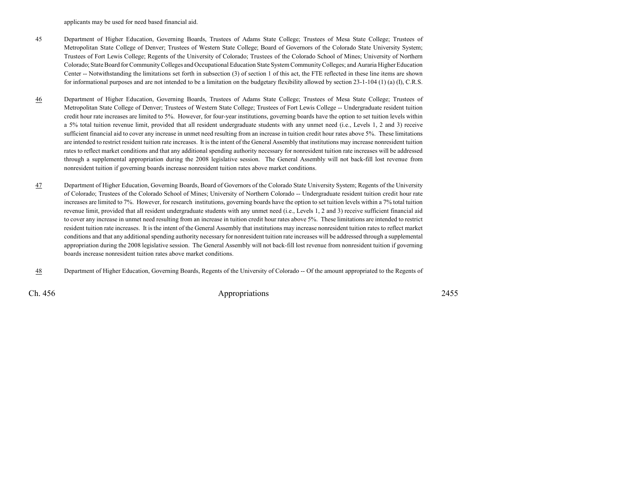applicants may be used for need based financial aid.

- <sup>45</sup> Department of Higher Education, Governing Boards, Trustees of Adams State College; Trustees of Mesa State College; Trustees of Metropolitan State College of Denver; Trustees of Western State College; Board of Governors of the Colorado State University System;Trustees of Fort Lewis College; Regents of the University of Colorado; Trustees of the Colorado School of Mines; University of Northern Colorado; State Board for Community Colleges and Occupational Education State System Community Colleges; and Auraria Higher Education Center -- Notwithstanding the limitations set forth in subsection (3) of section 1 of this act, the FTE reflected in these line items are shownfor informational purposes and are not intended to be a limitation on the budgetary flexibility allowed by section 23-1-104 (1) (a) (I), C.R.S.
- 46 Department of Higher Education, Governing Boards, Trustees of Adams State College; Trustees of Mesa State College; Trustees of Metropolitan State College of Denver; Trustees of Western State College; Trustees of Fort Lewis College -- Undergraduate resident tuition credit hour rate increases are limited to 5%. However, for four-year institutions, governing boards have the option to set tuition levels within a 5% total tuition revenue limit, provided that all resident undergraduate students with any unmet need (i.e., Levels 1, 2 and 3) receive sufficient financial aid to cover any increase in unmet need resulting from an increase in tuition credit hour rates above 5%. These limitations are intended to restrict resident tuition rate increases. It is the intent of the General Assembly that institutions may increase nonresident tuition rates to reflect market conditions and that any additional spending authority necessary for nonresident tuition rate increases will be addressed through a supplemental appropriation during the 2008 legislative session. The General Assembly will not back-fill lost revenue fromnonresident tuition if governing boards increase nonresident tuition rates above market conditions.
- 47 Department of Higher Education, Governing Boards, Board of Governors of the Colorado State University System; Regents of the University of Colorado; Trustees of the Colorado School of Mines; University of Northern Colorado -- Undergraduate resident tuition credit hour rate increases are limited to 7%. However, for research institutions, governing boards have the option to set tuition levels within a 7% total tuition revenue limit, provided that all resident undergraduate students with any unmet need (i.e., Levels 1, 2 and 3) receive sufficient financial aid to cover any increase in unmet need resulting from an increase in tuition credit hour rates above 5%. These limitations are intended to restrictresident tuition rate increases. It is the intent of the General Assembly that institutions may increase nonresident tuition rates to reflect marketconditions and that any additional spending authority necessary for nonresident tuition rate increases will be addressed through a supplemental appropriation during the 2008 legislative session. The General Assembly will not back-fill lost revenue from nonresident tuition if governingboards increase nonresident tuition rates above market conditions.
- 48Department of Higher Education, Governing Boards, Regents of the University of Colorado -- Of the amount appropriated to the Regents of

Ch. 456